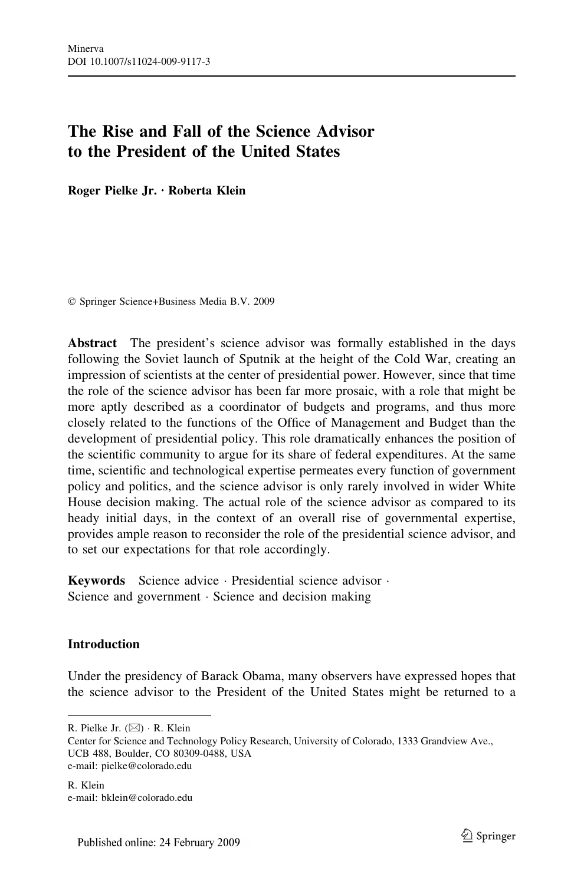# The Rise and Fall of the Science Advisor to the President of the United States

Roger Pielke Jr. · Roberta Klein

Springer Science+Business Media B.V. 2009

Abstract The president's science advisor was formally established in the days following the Soviet launch of Sputnik at the height of the Cold War, creating an impression of scientists at the center of presidential power. However, since that time the role of the science advisor has been far more prosaic, with a role that might be more aptly described as a coordinator of budgets and programs, and thus more closely related to the functions of the Office of Management and Budget than the development of presidential policy. This role dramatically enhances the position of the scientific community to argue for its share of federal expenditures. At the same time, scientific and technological expertise permeates every function of government policy and politics, and the science advisor is only rarely involved in wider White House decision making. The actual role of the science advisor as compared to its heady initial days, in the context of an overall rise of governmental expertise, provides ample reason to reconsider the role of the presidential science advisor, and to set our expectations for that role accordingly.

Keywords Science advice · Presidential science advisor · Science and government  $\cdot$  Science and decision making

## Introduction

Under the presidency of Barack Obama, many observers have expressed hopes that the science advisor to the President of the United States might be returned to a

R. Pielke Jr.  $(\boxtimes) \cdot$  R. Klein

Center for Science and Technology Policy Research, University of Colorado, 1333 Grandview Ave., UCB 488, Boulder, CO 80309-0488, USA e-mail: pielke@colorado.edu

R. Klein e-mail: bklein@colorado.edu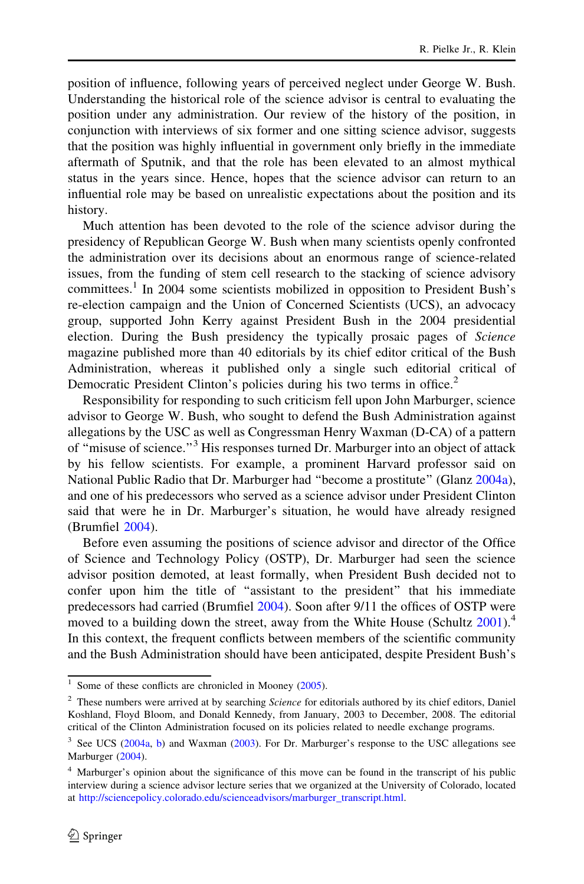position of influence, following years of perceived neglect under George W. Bush. Understanding the historical role of the science advisor is central to evaluating the position under any administration. Our review of the history of the position, in conjunction with interviews of six former and one sitting science advisor, suggests that the position was highly influential in government only briefly in the immediate aftermath of Sputnik, and that the role has been elevated to an almost mythical status in the years since. Hence, hopes that the science advisor can return to an influential role may be based on unrealistic expectations about the position and its history.

Much attention has been devoted to the role of the science advisor during the presidency of Republican George W. Bush when many scientists openly confronted the administration over its decisions about an enormous range of science-related issues, from the funding of stem cell research to the stacking of science advisory committees.<sup>1</sup> In 2004 some scientists mobilized in opposition to President Bush's re-election campaign and the Union of Concerned Scientists (UCS), an advocacy group, supported John Kerry against President Bush in the 2004 presidential election. During the Bush presidency the typically prosaic pages of Science magazine published more than 40 editorials by its chief editor critical of the Bush Administration, whereas it published only a single such editorial critical of Democratic President Clinton's policies during his two terms in office.<sup>2</sup>

Responsibility for responding to such criticism fell upon John Marburger, science advisor to George W. Bush, who sought to defend the Bush Administration against allegations by the USC as well as Congressman Henry Waxman (D-CA) of a pattern of ''misuse of science.''<sup>3</sup> His responses turned Dr. Marburger into an object of attack by his fellow scientists. For example, a prominent Harvard professor said on National Public Radio that Dr. Marburger had ''become a prostitute'' (Glanz [2004a\)](#page-20-0), and one of his predecessors who served as a science advisor under President Clinton said that were he in Dr. Marburger's situation, he would have already resigned (Brumfiel [2004](#page-20-0)).

Before even assuming the positions of science advisor and director of the Office of Science and Technology Policy (OSTP), Dr. Marburger had seen the science advisor position demoted, at least formally, when President Bush decided not to confer upon him the title of ''assistant to the president'' that his immediate predecessors had carried (Brumfiel [2004\)](#page-20-0). Soon after 9/11 the offices of OSTP were moved to a building down the street, away from the White House (Schultz  $2001$ ).<sup>4</sup> In this context, the frequent conflicts between members of the scientific community and the Bush Administration should have been anticipated, despite President Bush's

<sup>&</sup>lt;sup>1</sup> Some of these conflicts are chronicled in Mooney ( $2005$ ).

 $2$  These numbers were arrived at by searching Science for editorials authored by its chief editors, Daniel Koshland, Floyd Bloom, and Donald Kennedy, from January, 2003 to December, 2008. The editorial critical of the Clinton Administration focused on its policies related to needle exchange programs.

 $3$  See UCS [\(2004a,](#page-22-0) [b\)](#page-22-0) and Waxman [\(2003](#page-22-0)). For Dr. Marburger's response to the USC allegations see Marburger [\(2004](#page-21-0)).

<sup>&</sup>lt;sup>4</sup> Marburger's opinion about the significance of this move can be found in the transcript of his public interview during a science advisor lecture series that we organized at the University of Colorado, located at [http://sciencepolicy.colorado.edu/scienceadvisors/marburger\\_transcript.html.](http://sciencepolicy.colorado.edu/scienceadvisors/marburger_transcript.html)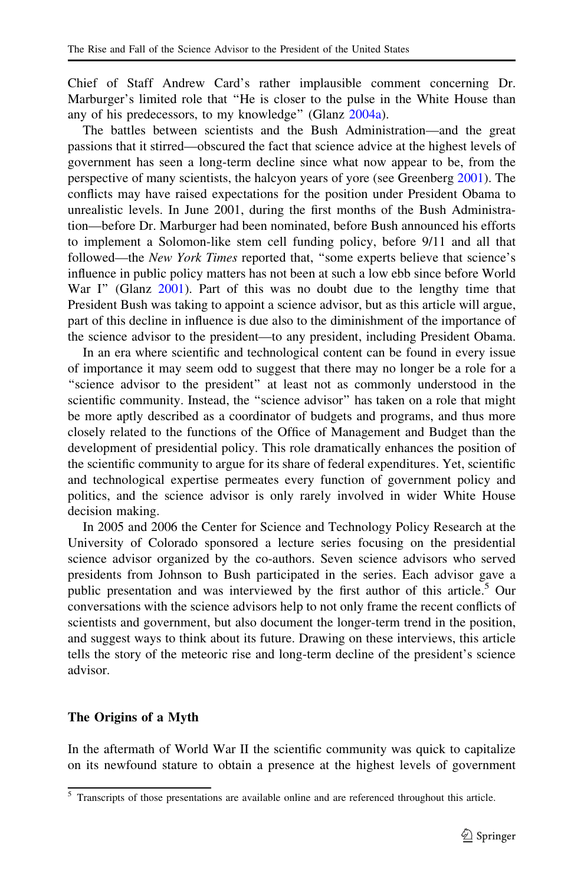Chief of Staff Andrew Card's rather implausible comment concerning Dr. Marburger's limited role that ''He is closer to the pulse in the White House than any of his predecessors, to my knowledge'' (Glanz [2004a](#page-20-0)).

The battles between scientists and the Bush Administration—and the great passions that it stirred—obscured the fact that science advice at the highest levels of government has seen a long-term decline since what now appear to be, from the perspective of many scientists, the halcyon years of yore (see Greenberg [2001](#page-21-0)). The conflicts may have raised expectations for the position under President Obama to unrealistic levels. In June 2001, during the first months of the Bush Administration—before Dr. Marburger had been nominated, before Bush announced his efforts to implement a Solomon-like stem cell funding policy, before 9/11 and all that followed—the New York Times reported that, "some experts believe that science's influence in public policy matters has not been at such a low ebb since before World War I" (Glanz [2001](#page-20-0)). Part of this was no doubt due to the lengthy time that President Bush was taking to appoint a science advisor, but as this article will argue, part of this decline in influence is due also to the diminishment of the importance of the science advisor to the president—to any president, including President Obama.

In an era where scientific and technological content can be found in every issue of importance it may seem odd to suggest that there may no longer be a role for a "science advisor to the president" at least not as commonly understood in the scientific community. Instead, the ''science advisor'' has taken on a role that might be more aptly described as a coordinator of budgets and programs, and thus more closely related to the functions of the Office of Management and Budget than the development of presidential policy. This role dramatically enhances the position of the scientific community to argue for its share of federal expenditures. Yet, scientific and technological expertise permeates every function of government policy and politics, and the science advisor is only rarely involved in wider White House decision making.

In 2005 and 2006 the Center for Science and Technology Policy Research at the University of Colorado sponsored a lecture series focusing on the presidential science advisor organized by the co-authors. Seven science advisors who served presidents from Johnson to Bush participated in the series. Each advisor gave a public presentation and was interviewed by the first author of this article.<sup>5</sup> Our conversations with the science advisors help to not only frame the recent conflicts of scientists and government, but also document the longer-term trend in the position, and suggest ways to think about its future. Drawing on these interviews, this article tells the story of the meteoric rise and long-term decline of the president's science advisor.

## The Origins of a Myth

In the aftermath of World War II the scientific community was quick to capitalize on its newfound stature to obtain a presence at the highest levels of government

<sup>5</sup> Transcripts of those presentations are available online and are referenced throughout this article.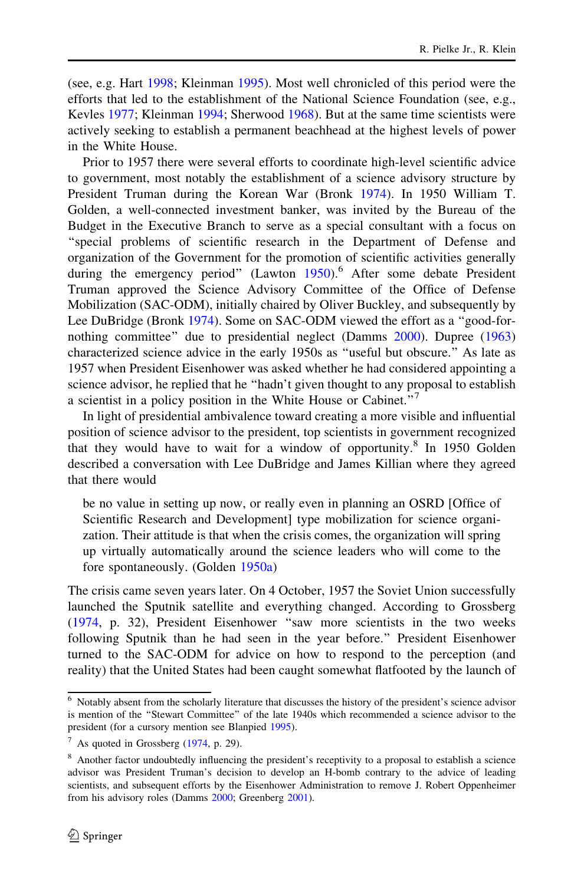(see, e.g. Hart [1998;](#page-21-0) Kleinman [1995\)](#page-21-0). Most well chronicled of this period were the efforts that led to the establishment of the National Science Foundation (see, e.g., Kevles [1977](#page-21-0); Kleinman [1994](#page-21-0); Sherwood [1968\)](#page-22-0). But at the same time scientists were actively seeking to establish a permanent beachhead at the highest levels of power in the White House.

Prior to 1957 there were several efforts to coordinate high-level scientific advice to government, most notably the establishment of a science advisory structure by President Truman during the Korean War (Bronk [1974](#page-20-0)). In 1950 William T. Golden, a well-connected investment banker, was invited by the Bureau of the Budget in the Executive Branch to serve as a special consultant with a focus on ''special problems of scientific research in the Department of Defense and organization of the Government for the promotion of scientific activities generally during the emergency period" (Lawton  $1950$ ).<sup>6</sup> After some debate President Truman approved the Science Advisory Committee of the Office of Defense Mobilization (SAC-ODM), initially chaired by Oliver Buckley, and subsequently by Lee DuBridge (Bronk [1974](#page-20-0)). Some on SAC-ODM viewed the effort as a ''good-for-nothing committee" due to presidential neglect (Damms [2000\)](#page-20-0). Dupree [\(1963](#page-20-0)) characterized science advice in the early 1950s as ''useful but obscure.'' As late as 1957 when President Eisenhower was asked whether he had considered appointing a science advisor, he replied that he ''hadn't given thought to any proposal to establish a scientist in a policy position in the White House or Cabinet."<sup>7</sup>

In light of presidential ambivalence toward creating a more visible and influential position of science advisor to the president, top scientists in government recognized that they would have to wait for a window of opportunity.<sup>8</sup> In 1950 Golden described a conversation with Lee DuBridge and James Killian where they agreed that there would

be no value in setting up now, or really even in planning an OSRD [Office of Scientific Research and Development] type mobilization for science organization. Their attitude is that when the crisis comes, the organization will spring up virtually automatically around the science leaders who will come to the fore spontaneously. (Golden [1950a](#page-21-0))

The crisis came seven years later. On 4 October, 1957 the Soviet Union successfully launched the Sputnik satellite and everything changed. According to Grossberg [\(1974](#page-21-0), p. 32), President Eisenhower ''saw more scientists in the two weeks following Sputnik than he had seen in the year before.'' President Eisenhower turned to the SAC-ODM for advice on how to respond to the perception (and reality) that the United States had been caught somewhat flatfooted by the launch of

<sup>6</sup> Notably absent from the scholarly literature that discusses the history of the president's science advisor is mention of the ''Stewart Committee'' of the late 1940s which recommended a science advisor to the president (for a cursory mention see Blanpied [1995](#page-20-0)).

 $^7$  As quoted in Grossberg ([1974](#page-21-0), p. 29).

<sup>&</sup>lt;sup>8</sup> Another factor undoubtedly influencing the president's receptivity to a proposal to establish a science advisor was President Truman's decision to develop an H-bomb contrary to the advice of leading scientists, and subsequent efforts by the Eisenhower Administration to remove J. Robert Oppenheimer from his advisory roles (Damms [2000](#page-20-0); Greenberg [2001](#page-21-0)).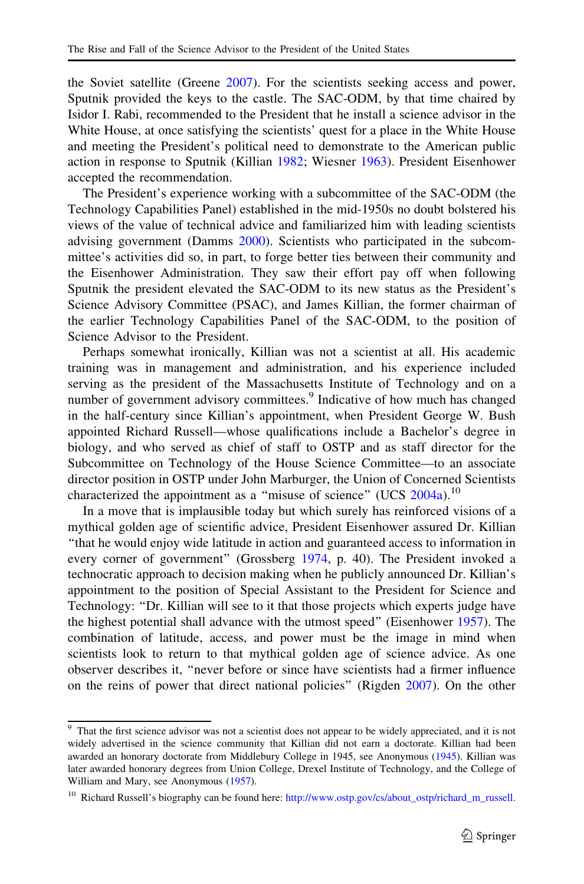the Soviet satellite (Greene [2007](#page-21-0)). For the scientists seeking access and power, Sputnik provided the keys to the castle. The SAC-ODM, by that time chaired by Isidor I. Rabi, recommended to the President that he install a science advisor in the White House, at once satisfying the scientists' quest for a place in the White House and meeting the President's political need to demonstrate to the American public action in response to Sputnik (Killian [1982;](#page-21-0) Wiesner [1963](#page-22-0)). President Eisenhower accepted the recommendation.

The President's experience working with a subcommittee of the SAC-ODM (the Technology Capabilities Panel) established in the mid-1950s no doubt bolstered his views of the value of technical advice and familiarized him with leading scientists advising government (Damms [2000\)](#page-20-0). Scientists who participated in the subcommittee's activities did so, in part, to forge better ties between their community and the Eisenhower Administration. They saw their effort pay off when following Sputnik the president elevated the SAC-ODM to its new status as the President's Science Advisory Committee (PSAC), and James Killian, the former chairman of the earlier Technology Capabilities Panel of the SAC-ODM, to the position of Science Advisor to the President.

Perhaps somewhat ironically, Killian was not a scientist at all. His academic training was in management and administration, and his experience included serving as the president of the Massachusetts Institute of Technology and on a number of government advisory committees.<sup>9</sup> Indicative of how much has changed in the half-century since Killian's appointment, when President George W. Bush appointed Richard Russell—whose qualifications include a Bachelor's degree in biology, and who served as chief of staff to OSTP and as staff director for the Subcommittee on Technology of the House Science Committee—to an associate director position in OSTP under John Marburger, the Union of Concerned Scientists characterized the appointment as a "misuse of science" (UCS  $2004a$ ).<sup>10</sup>

In a move that is implausible today but which surely has reinforced visions of a mythical golden age of scientific advice, President Eisenhower assured Dr. Killian ''that he would enjoy wide latitude in action and guaranteed access to information in every corner of government" (Grossberg [1974,](#page-21-0) p. 40). The President invoked a technocratic approach to decision making when he publicly announced Dr. Killian's appointment to the position of Special Assistant to the President for Science and Technology: ''Dr. Killian will see to it that those projects which experts judge have the highest potential shall advance with the utmost speed'' (Eisenhower [1957](#page-20-0)). The combination of latitude, access, and power must be the image in mind when scientists look to return to that mythical golden age of science advice. As one observer describes it, ''never before or since have scientists had a firmer influence on the reins of power that direct national policies'' (Rigden [2007](#page-22-0)). On the other

<sup>&</sup>lt;sup>9</sup> That the first science advisor was not a scientist does not appear to be widely appreciated, and it is not widely advertised in the science community that Killian did not earn a doctorate. Killian had been awarded an honorary doctorate from Middlebury College in 1945, see Anonymous ([1945\)](#page-20-0). Killian was later awarded honorary degrees from Union College, Drexel Institute of Technology, and the College of William and Mary, see Anonymous ([1957\)](#page-20-0).

<sup>&</sup>lt;sup>10</sup> Richard Russell's biography can be found here: [http://www.ostp.gov/cs/about\\_ostp/richard\\_m\\_russell](http://www.ostp.gov/cs/about_ostp/richard_m_russell).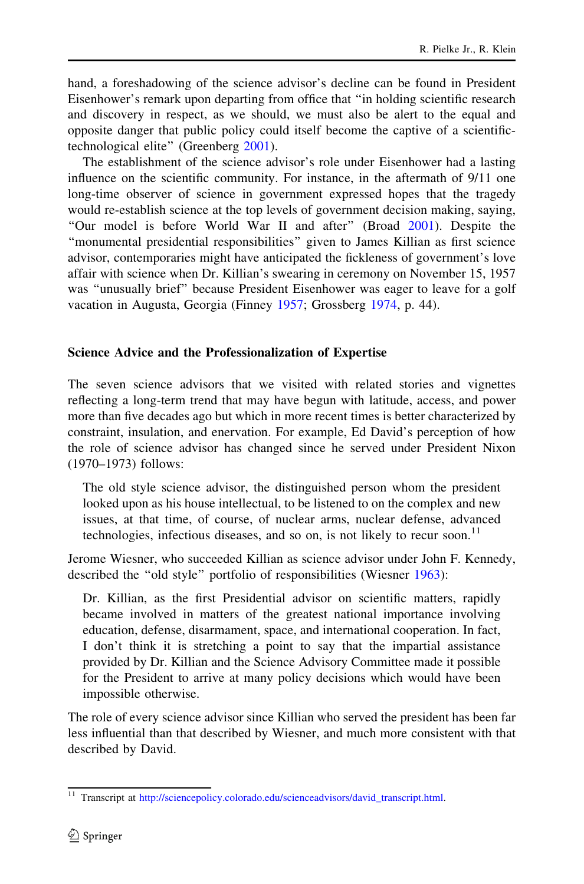hand, a foreshadowing of the science advisor's decline can be found in President Eisenhower's remark upon departing from office that ''in holding scientific research and discovery in respect, as we should, we must also be alert to the equal and opposite danger that public policy could itself become the captive of a scientifictechnological elite'' (Greenberg [2001](#page-21-0)).

The establishment of the science advisor's role under Eisenhower had a lasting influence on the scientific community. For instance, in the aftermath of 9/11 one long-time observer of science in government expressed hopes that the tragedy would re-establish science at the top levels of government decision making, saying, ''Our model is before World War II and after'' (Broad [2001](#page-20-0)). Despite the ''monumental presidential responsibilities'' given to James Killian as first science advisor, contemporaries might have anticipated the fickleness of government's love affair with science when Dr. Killian's swearing in ceremony on November 15, 1957 was ''unusually brief'' because President Eisenhower was eager to leave for a golf vacation in Augusta, Georgia (Finney [1957](#page-20-0); Grossberg [1974,](#page-21-0) p. 44).

# Science Advice and the Professionalization of Expertise

The seven science advisors that we visited with related stories and vignettes reflecting a long-term trend that may have begun with latitude, access, and power more than five decades ago but which in more recent times is better characterized by constraint, insulation, and enervation. For example, Ed David's perception of how the role of science advisor has changed since he served under President Nixon (1970–1973) follows:

The old style science advisor, the distinguished person whom the president looked upon as his house intellectual, to be listened to on the complex and new issues, at that time, of course, of nuclear arms, nuclear defense, advanced technologies, infectious diseases, and so on, is not likely to recur soon.<sup>11</sup>

Jerome Wiesner, who succeeded Killian as science advisor under John F. Kennedy, described the ''old style'' portfolio of responsibilities (Wiesner [1963\)](#page-22-0):

Dr. Killian, as the first Presidential advisor on scientific matters, rapidly became involved in matters of the greatest national importance involving education, defense, disarmament, space, and international cooperation. In fact, I don't think it is stretching a point to say that the impartial assistance provided by Dr. Killian and the Science Advisory Committee made it possible for the President to arrive at many policy decisions which would have been impossible otherwise.

The role of every science advisor since Killian who served the president has been far less influential than that described by Wiesner, and much more consistent with that described by David.

<sup>&</sup>lt;sup>11</sup> Transcript at [http://sciencepolicy.colorado.edu/scienceadvisors/david\\_transcript.html.](http://sciencepolicy.colorado.edu/scienceadvisors/david_transcript.html)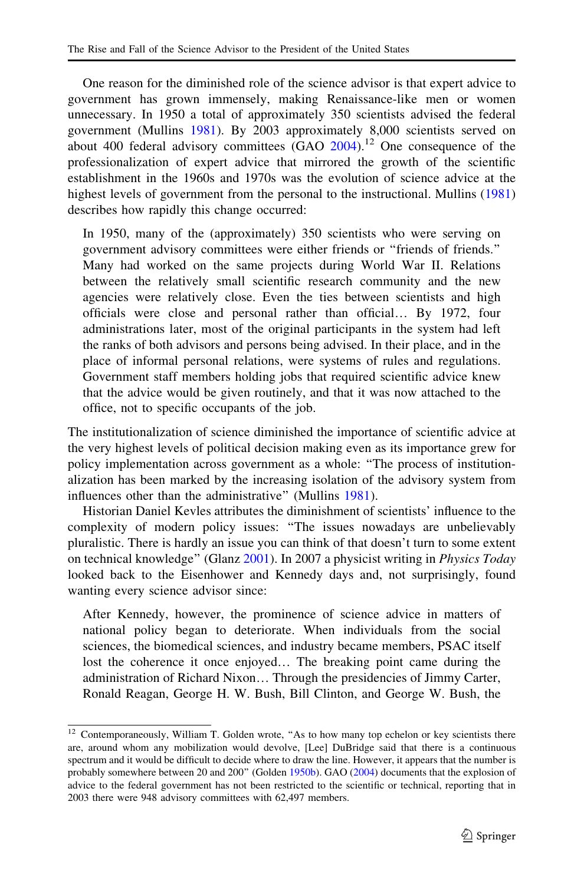One reason for the diminished role of the science advisor is that expert advice to government has grown immensely, making Renaissance-like men or women unnecessary. In 1950 a total of approximately 350 scientists advised the federal government (Mullins [1981](#page-21-0)). By 2003 approximately 8,000 scientists served on about 400 federal advisory committees  $(GAO 2004).<sup>12</sup>$  $(GAO 2004).<sup>12</sup>$  $(GAO 2004).<sup>12</sup>$  One consequence of the professionalization of expert advice that mirrored the growth of the scientific establishment in the 1960s and 1970s was the evolution of science advice at the highest levels of government from the personal to the instructional. Mullins [\(1981](#page-21-0)) describes how rapidly this change occurred:

In 1950, many of the (approximately) 350 scientists who were serving on government advisory committees were either friends or ''friends of friends.'' Many had worked on the same projects during World War II. Relations between the relatively small scientific research community and the new agencies were relatively close. Even the ties between scientists and high officials were close and personal rather than official… By 1972, four administrations later, most of the original participants in the system had left the ranks of both advisors and persons being advised. In their place, and in the place of informal personal relations, were systems of rules and regulations. Government staff members holding jobs that required scientific advice knew that the advice would be given routinely, and that it was now attached to the office, not to specific occupants of the job.

The institutionalization of science diminished the importance of scientific advice at the very highest levels of political decision making even as its importance grew for policy implementation across government as a whole: ''The process of institutionalization has been marked by the increasing isolation of the advisory system from influences other than the administrative'' (Mullins [1981\)](#page-21-0).

Historian Daniel Kevles attributes the diminishment of scientists' influence to the complexity of modern policy issues: ''The issues nowadays are unbelievably pluralistic. There is hardly an issue you can think of that doesn't turn to some extent on technical knowledge'' (Glanz [2001](#page-20-0)). In 2007 a physicist writing in Physics Today looked back to the Eisenhower and Kennedy days and, not surprisingly, found wanting every science advisor since:

After Kennedy, however, the prominence of science advice in matters of national policy began to deteriorate. When individuals from the social sciences, the biomedical sciences, and industry became members, PSAC itself lost the coherence it once enjoyed… The breaking point came during the administration of Richard Nixon… Through the presidencies of Jimmy Carter, Ronald Reagan, George H. W. Bush, Bill Clinton, and George W. Bush, the

<sup>&</sup>lt;sup>12</sup> Contemporaneously, William T. Golden wrote, "As to how many top echelon or key scientists there are, around whom any mobilization would devolve, [Lee] DuBridge said that there is a continuous spectrum and it would be difficult to decide where to draw the line. However, it appears that the number is probably somewhere between 20 and 200'' (Golden [1950b\)](#page-21-0). GAO [\(2004\)](#page-20-0) documents that the explosion of advice to the federal government has not been restricted to the scientific or technical, reporting that in 2003 there were 948 advisory committees with 62,497 members.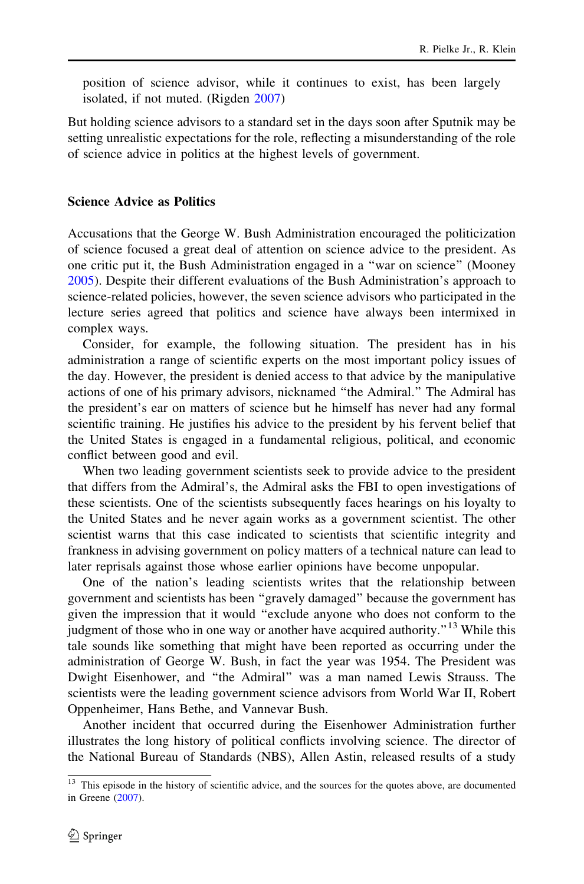position of science advisor, while it continues to exist, has been largely isolated, if not muted. (Rigden [2007](#page-22-0))

But holding science advisors to a standard set in the days soon after Sputnik may be setting unrealistic expectations for the role, reflecting a misunderstanding of the role of science advice in politics at the highest levels of government.

## Science Advice as Politics

Accusations that the George W. Bush Administration encouraged the politicization of science focused a great deal of attention on science advice to the president. As one critic put it, the Bush Administration engaged in a ''war on science'' (Mooney [2005\)](#page-21-0). Despite their different evaluations of the Bush Administration's approach to science-related policies, however, the seven science advisors who participated in the lecture series agreed that politics and science have always been intermixed in complex ways.

Consider, for example, the following situation. The president has in his administration a range of scientific experts on the most important policy issues of the day. However, the president is denied access to that advice by the manipulative actions of one of his primary advisors, nicknamed ''the Admiral.'' The Admiral has the president's ear on matters of science but he himself has never had any formal scientific training. He justifies his advice to the president by his fervent belief that the United States is engaged in a fundamental religious, political, and economic conflict between good and evil.

When two leading government scientists seek to provide advice to the president that differs from the Admiral's, the Admiral asks the FBI to open investigations of these scientists. One of the scientists subsequently faces hearings on his loyalty to the United States and he never again works as a government scientist. The other scientist warns that this case indicated to scientists that scientific integrity and frankness in advising government on policy matters of a technical nature can lead to later reprisals against those whose earlier opinions have become unpopular.

One of the nation's leading scientists writes that the relationship between government and scientists has been ''gravely damaged'' because the government has given the impression that it would ''exclude anyone who does not conform to the judgment of those who in one way or another have acquired authority."<sup>13</sup> While this tale sounds like something that might have been reported as occurring under the administration of George W. Bush, in fact the year was 1954. The President was Dwight Eisenhower, and ''the Admiral'' was a man named Lewis Strauss. The scientists were the leading government science advisors from World War II, Robert Oppenheimer, Hans Bethe, and Vannevar Bush.

Another incident that occurred during the Eisenhower Administration further illustrates the long history of political conflicts involving science. The director of the National Bureau of Standards (NBS), Allen Astin, released results of a study

 $\frac{13}{13}$  This episode in the history of scientific advice, and the sources for the quotes above, are documented in Greene [\(2007](#page-21-0)).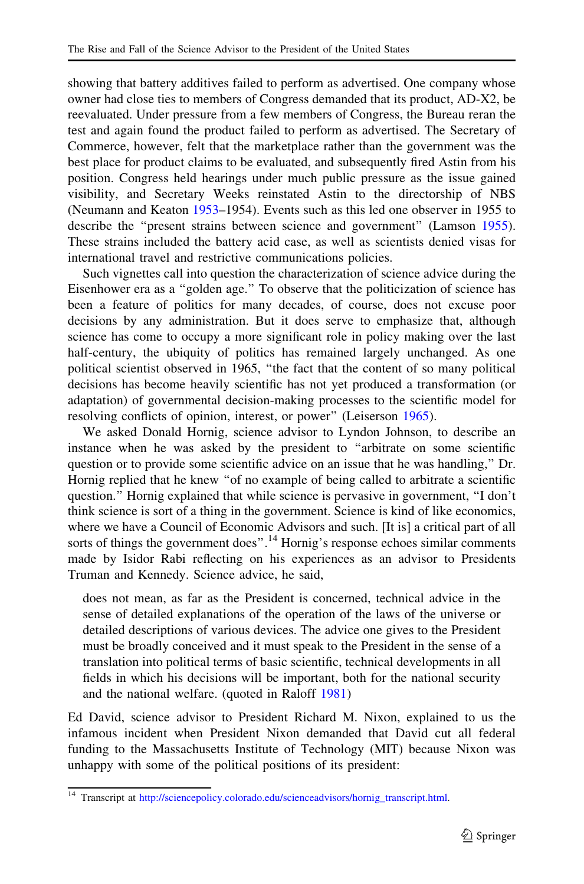showing that battery additives failed to perform as advertised. One company whose owner had close ties to members of Congress demanded that its product, AD-X2, be reevaluated. Under pressure from a few members of Congress, the Bureau reran the test and again found the product failed to perform as advertised. The Secretary of Commerce, however, felt that the marketplace rather than the government was the best place for product claims to be evaluated, and subsequently fired Astin from his position. Congress held hearings under much public pressure as the issue gained visibility, and Secretary Weeks reinstated Astin to the directorship of NBS (Neumann and Keaton [1953–](#page-21-0)1954). Events such as this led one observer in 1955 to describe the ''present strains between science and government'' (Lamson [1955\)](#page-21-0). These strains included the battery acid case, as well as scientists denied visas for international travel and restrictive communications policies.

Such vignettes call into question the characterization of science advice during the Eisenhower era as a ''golden age.'' To observe that the politicization of science has been a feature of politics for many decades, of course, does not excuse poor decisions by any administration. But it does serve to emphasize that, although science has come to occupy a more significant role in policy making over the last half-century, the ubiquity of politics has remained largely unchanged. As one political scientist observed in 1965, ''the fact that the content of so many political decisions has become heavily scientific has not yet produced a transformation (or adaptation) of governmental decision-making processes to the scientific model for resolving conflicts of opinion, interest, or power'' (Leiserson [1965](#page-21-0)).

We asked Donald Hornig, science advisor to Lyndon Johnson, to describe an instance when he was asked by the president to ''arbitrate on some scientific question or to provide some scientific advice on an issue that he was handling,'' Dr. Hornig replied that he knew "of no example of being called to arbitrate a scientific question.'' Hornig explained that while science is pervasive in government, ''I don't think science is sort of a thing in the government. Science is kind of like economics, where we have a Council of Economic Advisors and such. [It is] a critical part of all sorts of things the government does".<sup>14</sup> Hornig's response echoes similar comments made by Isidor Rabi reflecting on his experiences as an advisor to Presidents Truman and Kennedy. Science advice, he said,

does not mean, as far as the President is concerned, technical advice in the sense of detailed explanations of the operation of the laws of the universe or detailed descriptions of various devices. The advice one gives to the President must be broadly conceived and it must speak to the President in the sense of a translation into political terms of basic scientific, technical developments in all fields in which his decisions will be important, both for the national security and the national welfare. (quoted in Raloff [1981](#page-22-0))

Ed David, science advisor to President Richard M. Nixon, explained to us the infamous incident when President Nixon demanded that David cut all federal funding to the Massachusetts Institute of Technology (MIT) because Nixon was unhappy with some of the political positions of its president:

<sup>14</sup> Transcript at [http://sciencepolicy.colorado.edu/scienceadvisors/hornig\\_transcript.html.](http://sciencepolicy.colorado.edu/scienceadvisors/hornig_transcript.html)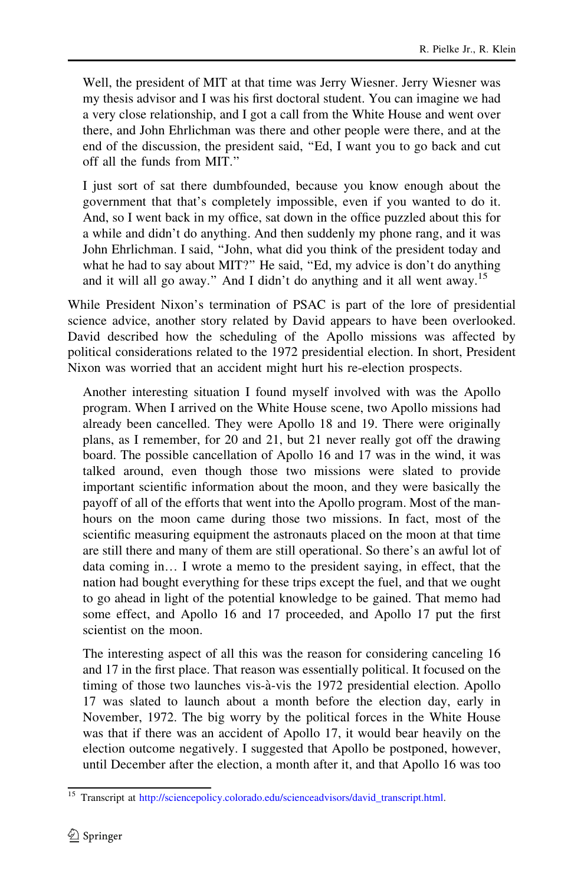Well, the president of MIT at that time was Jerry Wiesner. Jerry Wiesner was my thesis advisor and I was his first doctoral student. You can imagine we had a very close relationship, and I got a call from the White House and went over there, and John Ehrlichman was there and other people were there, and at the end of the discussion, the president said, ''Ed, I want you to go back and cut off all the funds from MIT.''

I just sort of sat there dumbfounded, because you know enough about the government that that's completely impossible, even if you wanted to do it. And, so I went back in my office, sat down in the office puzzled about this for a while and didn't do anything. And then suddenly my phone rang, and it was John Ehrlichman. I said, ''John, what did you think of the president today and what he had to say about MIT?" He said, "Ed, my advice is don't do anything and it will all go away." And I didn't do anything and it all went away.<sup>15</sup>

While President Nixon's termination of PSAC is part of the lore of presidential science advice, another story related by David appears to have been overlooked. David described how the scheduling of the Apollo missions was affected by political considerations related to the 1972 presidential election. In short, President Nixon was worried that an accident might hurt his re-election prospects.

Another interesting situation I found myself involved with was the Apollo program. When I arrived on the White House scene, two Apollo missions had already been cancelled. They were Apollo 18 and 19. There were originally plans, as I remember, for 20 and 21, but 21 never really got off the drawing board. The possible cancellation of Apollo 16 and 17 was in the wind, it was talked around, even though those two missions were slated to provide important scientific information about the moon, and they were basically the payoff of all of the efforts that went into the Apollo program. Most of the manhours on the moon came during those two missions. In fact, most of the scientific measuring equipment the astronauts placed on the moon at that time are still there and many of them are still operational. So there's an awful lot of data coming in… I wrote a memo to the president saying, in effect, that the nation had bought everything for these trips except the fuel, and that we ought to go ahead in light of the potential knowledge to be gained. That memo had some effect, and Apollo 16 and 17 proceeded, and Apollo 17 put the first scientist on the moon.

The interesting aspect of all this was the reason for considering canceling 16 and 17 in the first place. That reason was essentially political. It focused on the timing of those two launches vis-à-vis the 1972 presidential election. Apollo 17 was slated to launch about a month before the election day, early in November, 1972. The big worry by the political forces in the White House was that if there was an accident of Apollo 17, it would bear heavily on the election outcome negatively. I suggested that Apollo be postponed, however, until December after the election, a month after it, and that Apollo 16 was too

<sup>15</sup> Transcript at [http://sciencepolicy.colorado.edu/scienceadvisors/david\\_transcript.html.](http://sciencepolicy.colorado.edu/scienceadvisors/david_transcript.html)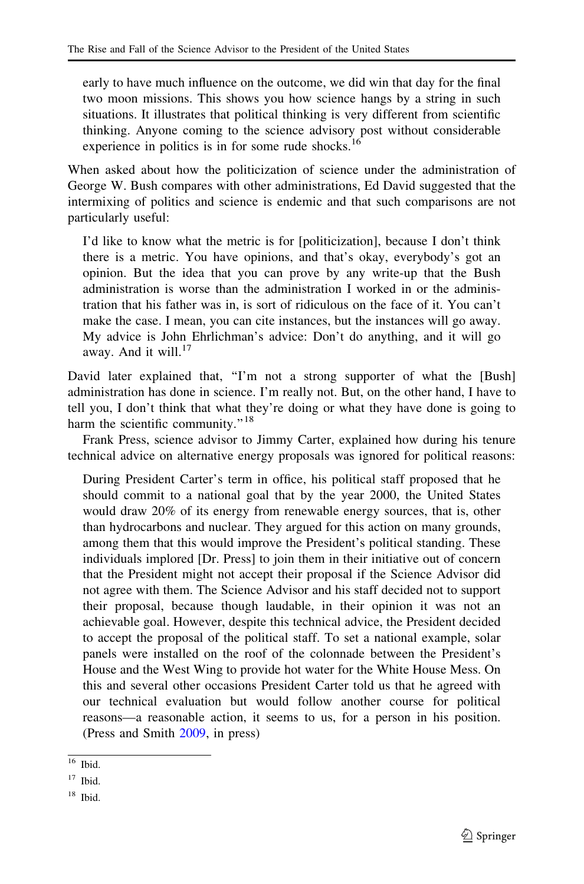early to have much influence on the outcome, we did win that day for the final two moon missions. This shows you how science hangs by a string in such situations. It illustrates that political thinking is very different from scientific thinking. Anyone coming to the science advisory post without considerable experience in politics is in for some rude shocks.<sup>16</sup>

When asked about how the politicization of science under the administration of George W. Bush compares with other administrations, Ed David suggested that the intermixing of politics and science is endemic and that such comparisons are not particularly useful:

I'd like to know what the metric is for [politicization], because I don't think there is a metric. You have opinions, and that's okay, everybody's got an opinion. But the idea that you can prove by any write-up that the Bush administration is worse than the administration I worked in or the administration that his father was in, is sort of ridiculous on the face of it. You can't make the case. I mean, you can cite instances, but the instances will go away. My advice is John Ehrlichman's advice: Don't do anything, and it will go away. And it will. $17$ 

David later explained that, "I'm not a strong supporter of what the [Bush] administration has done in science. I'm really not. But, on the other hand, I have to tell you, I don't think that what they're doing or what they have done is going to harm the scientific community."<sup>18</sup>

Frank Press, science advisor to Jimmy Carter, explained how during his tenure technical advice on alternative energy proposals was ignored for political reasons:

During President Carter's term in office, his political staff proposed that he should commit to a national goal that by the year 2000, the United States would draw 20% of its energy from renewable energy sources, that is, other than hydrocarbons and nuclear. They argued for this action on many grounds, among them that this would improve the President's political standing. These individuals implored [Dr. Press] to join them in their initiative out of concern that the President might not accept their proposal if the Science Advisor did not agree with them. The Science Advisor and his staff decided not to support their proposal, because though laudable, in their opinion it was not an achievable goal. However, despite this technical advice, the President decided to accept the proposal of the political staff. To set a national example, solar panels were installed on the roof of the colonnade between the President's House and the West Wing to provide hot water for the White House Mess. On this and several other occasions President Carter told us that he agreed with our technical evaluation but would follow another course for political reasons—a reasonable action, it seems to us, for a person in his position. (Press and Smith [2009,](#page-21-0) in press)

 $16$  Ibid.

 $17$  Ibid.

 $18$  Ibid.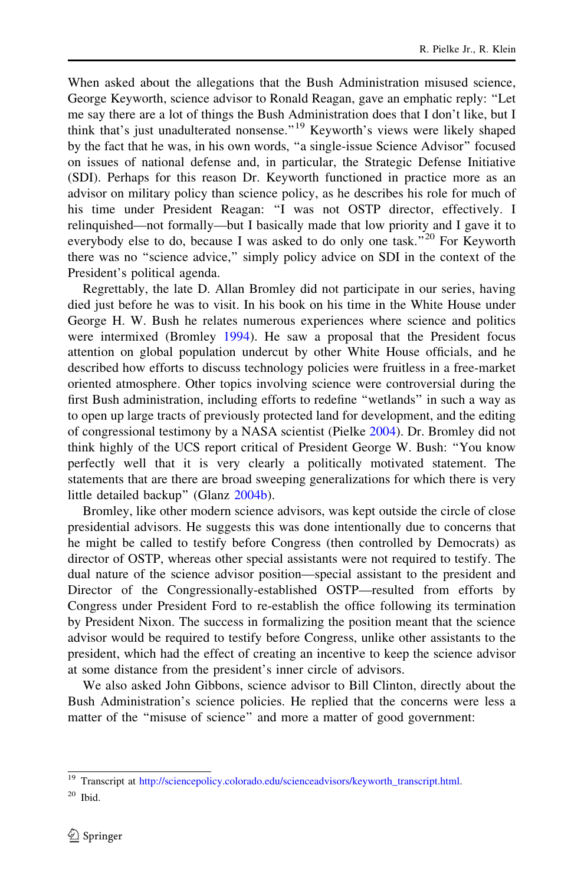When asked about the allegations that the Bush Administration misused science, George Keyworth, science advisor to Ronald Reagan, gave an emphatic reply: ''Let me say there are a lot of things the Bush Administration does that I don't like, but I think that's just unadulterated nonsense.''<sup>19</sup> Keyworth's views were likely shaped by the fact that he was, in his own words, ''a single-issue Science Advisor'' focused on issues of national defense and, in particular, the Strategic Defense Initiative (SDI). Perhaps for this reason Dr. Keyworth functioned in practice more as an advisor on military policy than science policy, as he describes his role for much of his time under President Reagan: ''I was not OSTP director, effectively. I relinquished—not formally—but I basically made that low priority and I gave it to everybody else to do, because I was asked to do only one task."<sup>20</sup> For Keyworth there was no ''science advice,'' simply policy advice on SDI in the context of the President's political agenda.

Regrettably, the late D. Allan Bromley did not participate in our series, having died just before he was to visit. In his book on his time in the White House under George H. W. Bush he relates numerous experiences where science and politics were intermixed (Bromley [1994](#page-20-0)). He saw a proposal that the President focus attention on global population undercut by other White House officials, and he described how efforts to discuss technology policies were fruitless in a free-market oriented atmosphere. Other topics involving science were controversial during the first Bush administration, including efforts to redefine ''wetlands'' in such a way as to open up large tracts of previously protected land for development, and the editing of congressional testimony by a NASA scientist (Pielke [2004](#page-21-0)). Dr. Bromley did not think highly of the UCS report critical of President George W. Bush: ''You know perfectly well that it is very clearly a politically motivated statement. The statements that are there are broad sweeping generalizations for which there is very little detailed backup" (Glanz [2004b](#page-20-0)).

Bromley, like other modern science advisors, was kept outside the circle of close presidential advisors. He suggests this was done intentionally due to concerns that he might be called to testify before Congress (then controlled by Democrats) as director of OSTP, whereas other special assistants were not required to testify. The dual nature of the science advisor position—special assistant to the president and Director of the Congressionally-established OSTP—resulted from efforts by Congress under President Ford to re-establish the office following its termination by President Nixon. The success in formalizing the position meant that the science advisor would be required to testify before Congress, unlike other assistants to the president, which had the effect of creating an incentive to keep the science advisor at some distance from the president's inner circle of advisors.

We also asked John Gibbons, science advisor to Bill Clinton, directly about the Bush Administration's science policies. He replied that the concerns were less a matter of the ''misuse of science'' and more a matter of good government:

<sup>&</sup>lt;sup>19</sup> Transcript at [http://sciencepolicy.colorado.edu/scienceadvisors/keyworth\\_transcript.html](http://sciencepolicy.colorado.edu/scienceadvisors/keyworth_transcript.html).

 $20$  Ibid.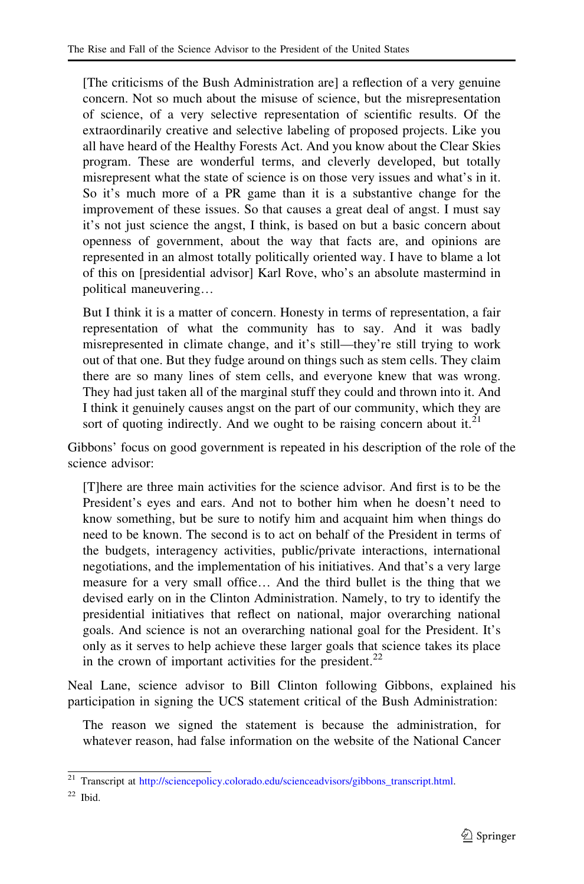[The criticisms of the Bush Administration are] a reflection of a very genuine concern. Not so much about the misuse of science, but the misrepresentation of science, of a very selective representation of scientific results. Of the extraordinarily creative and selective labeling of proposed projects. Like you all have heard of the Healthy Forests Act. And you know about the Clear Skies program. These are wonderful terms, and cleverly developed, but totally misrepresent what the state of science is on those very issues and what's in it. So it's much more of a PR game than it is a substantive change for the improvement of these issues. So that causes a great deal of angst. I must say it's not just science the angst, I think, is based on but a basic concern about openness of government, about the way that facts are, and opinions are represented in an almost totally politically oriented way. I have to blame a lot of this on [presidential advisor] Karl Rove, who's an absolute mastermind in political maneuvering…

But I think it is a matter of concern. Honesty in terms of representation, a fair representation of what the community has to say. And it was badly misrepresented in climate change, and it's still—they're still trying to work out of that one. But they fudge around on things such as stem cells. They claim there are so many lines of stem cells, and everyone knew that was wrong. They had just taken all of the marginal stuff they could and thrown into it. And I think it genuinely causes angst on the part of our community, which they are sort of quoting indirectly. And we ought to be raising concern about it.<sup>21</sup>

Gibbons' focus on good government is repeated in his description of the role of the science advisor:

[T]here are three main activities for the science advisor. And first is to be the President's eyes and ears. And not to bother him when he doesn't need to know something, but be sure to notify him and acquaint him when things do need to be known. The second is to act on behalf of the President in terms of the budgets, interagency activities, public/private interactions, international negotiations, and the implementation of his initiatives. And that's a very large measure for a very small office… And the third bullet is the thing that we devised early on in the Clinton Administration. Namely, to try to identify the presidential initiatives that reflect on national, major overarching national goals. And science is not an overarching national goal for the President. It's only as it serves to help achieve these larger goals that science takes its place in the crown of important activities for the president.<sup>22</sup>

Neal Lane, science advisor to Bill Clinton following Gibbons, explained his participation in signing the UCS statement critical of the Bush Administration:

The reason we signed the statement is because the administration, for whatever reason, had false information on the website of the National Cancer

<sup>21</sup> Transcript at [http://sciencepolicy.colorado.edu/scienceadvisors/gibbons\\_transcript.html](http://sciencepolicy.colorado.edu/scienceadvisors/gibbons_transcript.html).

 $22$  Ibid.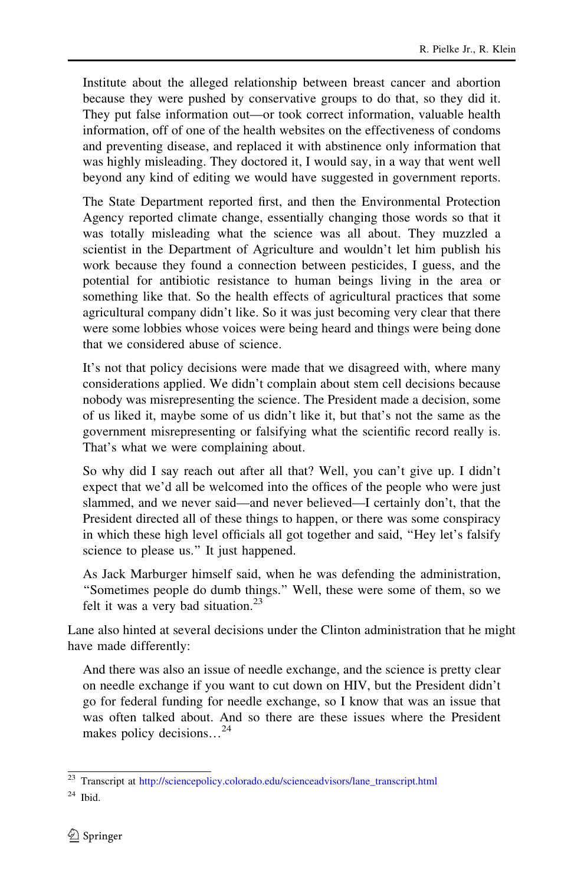Institute about the alleged relationship between breast cancer and abortion because they were pushed by conservative groups to do that, so they did it. They put false information out—or took correct information, valuable health information, off of one of the health websites on the effectiveness of condoms and preventing disease, and replaced it with abstinence only information that was highly misleading. They doctored it, I would say, in a way that went well beyond any kind of editing we would have suggested in government reports.

The State Department reported first, and then the Environmental Protection Agency reported climate change, essentially changing those words so that it was totally misleading what the science was all about. They muzzled a scientist in the Department of Agriculture and wouldn't let him publish his work because they found a connection between pesticides, I guess, and the potential for antibiotic resistance to human beings living in the area or something like that. So the health effects of agricultural practices that some agricultural company didn't like. So it was just becoming very clear that there were some lobbies whose voices were being heard and things were being done that we considered abuse of science.

It's not that policy decisions were made that we disagreed with, where many considerations applied. We didn't complain about stem cell decisions because nobody was misrepresenting the science. The President made a decision, some of us liked it, maybe some of us didn't like it, but that's not the same as the government misrepresenting or falsifying what the scientific record really is. That's what we were complaining about.

So why did I say reach out after all that? Well, you can't give up. I didn't expect that we'd all be welcomed into the offices of the people who were just slammed, and we never said—and never believed—I certainly don't, that the President directed all of these things to happen, or there was some conspiracy in which these high level officials all got together and said, ''Hey let's falsify science to please us.'' It just happened.

As Jack Marburger himself said, when he was defending the administration, ''Sometimes people do dumb things.'' Well, these were some of them, so we felt it was a very bad situation. $^{23}$ 

Lane also hinted at several decisions under the Clinton administration that he might have made differently:

And there was also an issue of needle exchange, and the science is pretty clear on needle exchange if you want to cut down on HIV, but the President didn't go for federal funding for needle exchange, so I know that was an issue that was often talked about. And so there are these issues where the President makes policy decisions...<sup>24</sup>

<sup>23</sup> Transcript at [http://sciencepolicy.colorado.edu/scienceadvisors/lane\\_transcript.html](http://sciencepolicy.colorado.edu/scienceadvisors/lane_transcript.html)

 $24$  Ibid.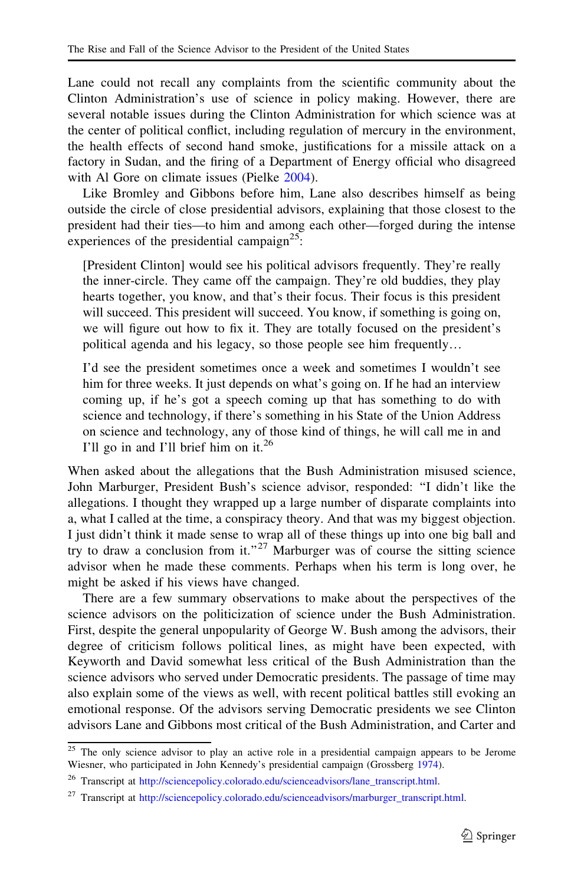Lane could not recall any complaints from the scientific community about the Clinton Administration's use of science in policy making. However, there are several notable issues during the Clinton Administration for which science was at the center of political conflict, including regulation of mercury in the environment, the health effects of second hand smoke, justifications for a missile attack on a factory in Sudan, and the firing of a Department of Energy official who disagreed with Al Gore on climate issues (Pielke [2004\)](#page-21-0).

Like Bromley and Gibbons before him, Lane also describes himself as being outside the circle of close presidential advisors, explaining that those closest to the president had their ties—to him and among each other—forged during the intense experiences of the presidential campaign<sup>25</sup>:

[President Clinton] would see his political advisors frequently. They're really the inner-circle. They came off the campaign. They're old buddies, they play hearts together, you know, and that's their focus. Their focus is this president will succeed. This president will succeed. You know, if something is going on, we will figure out how to fix it. They are totally focused on the president's political agenda and his legacy, so those people see him frequently…

I'd see the president sometimes once a week and sometimes I wouldn't see him for three weeks. It just depends on what's going on. If he had an interview coming up, if he's got a speech coming up that has something to do with science and technology, if there's something in his State of the Union Address on science and technology, any of those kind of things, he will call me in and I'll go in and I'll brief him on it.<sup>26</sup>

When asked about the allegations that the Bush Administration misused science, John Marburger, President Bush's science advisor, responded: ''I didn't like the allegations. I thought they wrapped up a large number of disparate complaints into a, what I called at the time, a conspiracy theory. And that was my biggest objection. I just didn't think it made sense to wrap all of these things up into one big ball and try to draw a conclusion from it."<sup>27</sup> Marburger was of course the sitting science advisor when he made these comments. Perhaps when his term is long over, he might be asked if his views have changed.

There are a few summary observations to make about the perspectives of the science advisors on the politicization of science under the Bush Administration. First, despite the general unpopularity of George W. Bush among the advisors, their degree of criticism follows political lines, as might have been expected, with Keyworth and David somewhat less critical of the Bush Administration than the science advisors who served under Democratic presidents. The passage of time may also explain some of the views as well, with recent political battles still evoking an emotional response. Of the advisors serving Democratic presidents we see Clinton advisors Lane and Gibbons most critical of the Bush Administration, and Carter and

 $25$  The only science advisor to play an active role in a presidential campaign appears to be Jerome Wiesner, who participated in John Kennedy's presidential campaign (Grossberg [1974](#page-21-0)).

<sup>&</sup>lt;sup>26</sup> Transcript at [http://sciencepolicy.colorado.edu/scienceadvisors/lane\\_transcript.html](http://sciencepolicy.colorado.edu/scienceadvisors/lane_transcript.html).

<sup>&</sup>lt;sup>27</sup> Transcript at [http://sciencepolicy.colorado.edu/scienceadvisors/marburger\\_transcript.html](http://sciencepolicy.colorado.edu/scienceadvisors/marburger_transcript.html).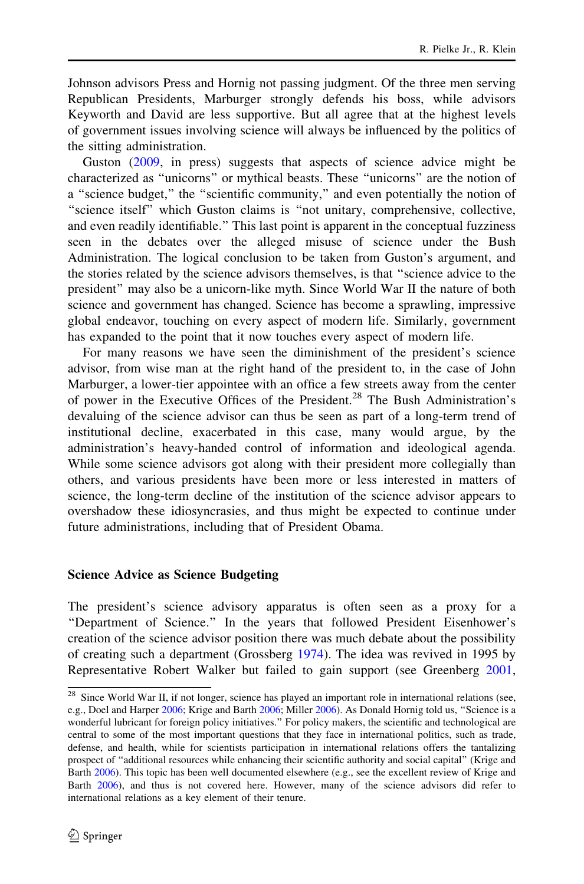Johnson advisors Press and Hornig not passing judgment. Of the three men serving Republican Presidents, Marburger strongly defends his boss, while advisors Keyworth and David are less supportive. But all agree that at the highest levels of government issues involving science will always be influenced by the politics of the sitting administration.

Guston [\(2009](#page-21-0), in press) suggests that aspects of science advice might be characterized as ''unicorns'' or mythical beasts. These ''unicorns'' are the notion of a ''science budget,'' the ''scientific community,'' and even potentially the notion of "science itself" which Guston claims is "not unitary, comprehensive, collective, and even readily identifiable.'' This last point is apparent in the conceptual fuzziness seen in the debates over the alleged misuse of science under the Bush Administration. The logical conclusion to be taken from Guston's argument, and the stories related by the science advisors themselves, is that ''science advice to the president'' may also be a unicorn-like myth. Since World War II the nature of both science and government has changed. Science has become a sprawling, impressive global endeavor, touching on every aspect of modern life. Similarly, government has expanded to the point that it now touches every aspect of modern life.

For many reasons we have seen the diminishment of the president's science advisor, from wise man at the right hand of the president to, in the case of John Marburger, a lower-tier appointee with an office a few streets away from the center of power in the Executive Offices of the President.<sup>28</sup> The Bush Administration's devaluing of the science advisor can thus be seen as part of a long-term trend of institutional decline, exacerbated in this case, many would argue, by the administration's heavy-handed control of information and ideological agenda. While some science advisors got along with their president more collegially than others, and various presidents have been more or less interested in matters of science, the long-term decline of the institution of the science advisor appears to overshadow these idiosyncrasies, and thus might be expected to continue under future administrations, including that of President Obama.

#### Science Advice as Science Budgeting

The president's science advisory apparatus is often seen as a proxy for a ''Department of Science.'' In the years that followed President Eisenhower's creation of the science advisor position there was much debate about the possibility of creating such a department (Grossberg [1974\)](#page-21-0). The idea was revived in 1995 by Representative Robert Walker but failed to gain support (see Greenberg [2001,](#page-21-0)

<sup>&</sup>lt;sup>28</sup> Since World War II, if not longer, science has played an important role in international relations (see, e.g., Doel and Harper [2006;](#page-20-0) Krige and Barth [2006](#page-21-0); Miller 2006). As Donald Hornig told us, "Science is a wonderful lubricant for foreign policy initiatives.'' For policy makers, the scientific and technological are central to some of the most important questions that they face in international politics, such as trade, defense, and health, while for scientists participation in international relations offers the tantalizing prospect of ''additional resources while enhancing their scientific authority and social capital'' (Krige and Barth [2006\)](#page-21-0). This topic has been well documented elsewhere (e.g., see the excellent review of Krige and Barth [2006](#page-21-0)), and thus is not covered here. However, many of the science advisors did refer to international relations as a key element of their tenure.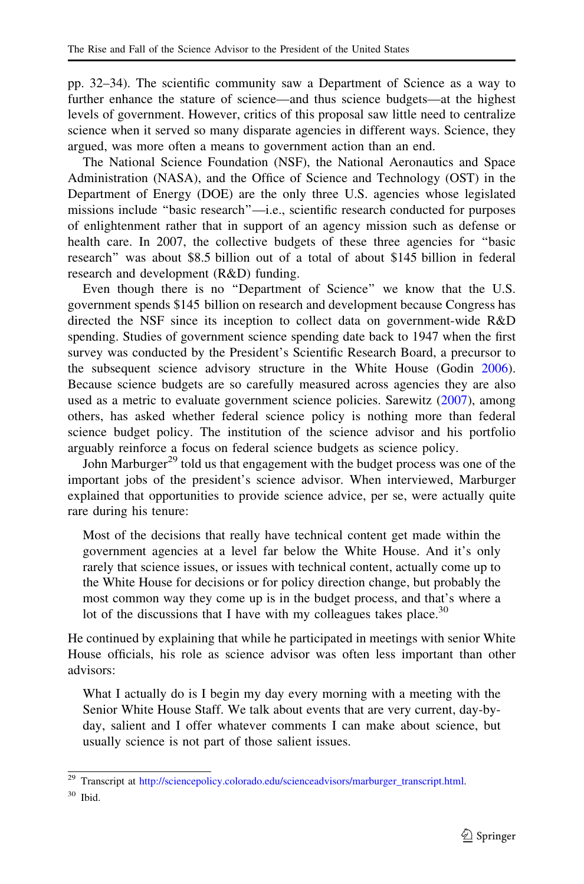pp. 32–34). The scientific community saw a Department of Science as a way to further enhance the stature of science—and thus science budgets—at the highest levels of government. However, critics of this proposal saw little need to centralize science when it served so many disparate agencies in different ways. Science, they argued, was more often a means to government action than an end.

The National Science Foundation (NSF), the National Aeronautics and Space Administration (NASA), and the Office of Science and Technology (OST) in the Department of Energy (DOE) are the only three U.S. agencies whose legislated missions include ''basic research''—i.e., scientific research conducted for purposes of enlightenment rather that in support of an agency mission such as defense or health care. In 2007, the collective budgets of these three agencies for ''basic research'' was about \$8.5 billion out of a total of about \$145 billion in federal research and development (R&D) funding.

Even though there is no ''Department of Science'' we know that the U.S. government spends \$145 billion on research and development because Congress has directed the NSF since its inception to collect data on government-wide R&D spending. Studies of government science spending date back to 1947 when the first survey was conducted by the President's Scientific Research Board, a precursor to the subsequent science advisory structure in the White House (Godin [2006\)](#page-21-0). Because science budgets are so carefully measured across agencies they are also used as a metric to evaluate government science policies. Sarewitz ([2007\)](#page-22-0), among others, has asked whether federal science policy is nothing more than federal science budget policy. The institution of the science advisor and his portfolio arguably reinforce a focus on federal science budgets as science policy.

John Marburger<sup>29</sup> told us that engagement with the budget process was one of the important jobs of the president's science advisor. When interviewed, Marburger explained that opportunities to provide science advice, per se, were actually quite rare during his tenure:

Most of the decisions that really have technical content get made within the government agencies at a level far below the White House. And it's only rarely that science issues, or issues with technical content, actually come up to the White House for decisions or for policy direction change, but probably the most common way they come up is in the budget process, and that's where a lot of the discussions that I have with my colleagues takes place.<sup>30</sup>

He continued by explaining that while he participated in meetings with senior White House officials, his role as science advisor was often less important than other advisors:

What I actually do is I begin my day every morning with a meeting with the Senior White House Staff. We talk about events that are very current, day-byday, salient and I offer whatever comments I can make about science, but usually science is not part of those salient issues.

<sup>&</sup>lt;sup>29</sup> Transcript at [http://sciencepolicy.colorado.edu/scienceadvisors/marburger\\_transcript.html](http://sciencepolicy.colorado.edu/scienceadvisors/marburger_transcript.html).

 $30$  Ibid.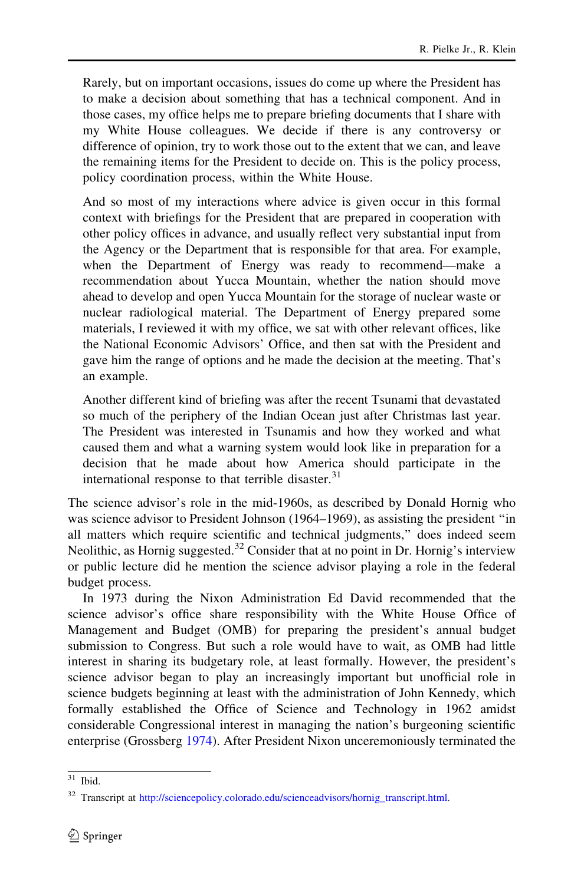Rarely, but on important occasions, issues do come up where the President has to make a decision about something that has a technical component. And in those cases, my office helps me to prepare briefing documents that I share with my White House colleagues. We decide if there is any controversy or difference of opinion, try to work those out to the extent that we can, and leave the remaining items for the President to decide on. This is the policy process, policy coordination process, within the White House.

And so most of my interactions where advice is given occur in this formal context with briefings for the President that are prepared in cooperation with other policy offices in advance, and usually reflect very substantial input from the Agency or the Department that is responsible for that area. For example, when the Department of Energy was ready to recommend—make a recommendation about Yucca Mountain, whether the nation should move ahead to develop and open Yucca Mountain for the storage of nuclear waste or nuclear radiological material. The Department of Energy prepared some materials, I reviewed it with my office, we sat with other relevant offices, like the National Economic Advisors' Office, and then sat with the President and gave him the range of options and he made the decision at the meeting. That's an example.

Another different kind of briefing was after the recent Tsunami that devastated so much of the periphery of the Indian Ocean just after Christmas last year. The President was interested in Tsunamis and how they worked and what caused them and what a warning system would look like in preparation for a decision that he made about how America should participate in the international response to that terrible disaster. $31$ 

The science advisor's role in the mid-1960s, as described by Donald Hornig who was science advisor to President Johnson (1964–1969), as assisting the president ''in all matters which require scientific and technical judgments," does indeed seem Neolithic, as Hornig suggested.<sup>32</sup> Consider that at no point in Dr. Hornig's interview or public lecture did he mention the science advisor playing a role in the federal budget process.

In 1973 during the Nixon Administration Ed David recommended that the science advisor's office share responsibility with the White House Office of Management and Budget (OMB) for preparing the president's annual budget submission to Congress. But such a role would have to wait, as OMB had little interest in sharing its budgetary role, at least formally. However, the president's science advisor began to play an increasingly important but unofficial role in science budgets beginning at least with the administration of John Kennedy, which formally established the Office of Science and Technology in 1962 amidst considerable Congressional interest in managing the nation's burgeoning scientific enterprise (Grossberg [1974\)](#page-21-0). After President Nixon unceremoniously terminated the

 $31$  Ibid.

<sup>&</sup>lt;sup>32</sup> Transcript at [http://sciencepolicy.colorado.edu/scienceadvisors/hornig\\_transcript.html.](http://sciencepolicy.colorado.edu/scienceadvisors/hornig_transcript.html)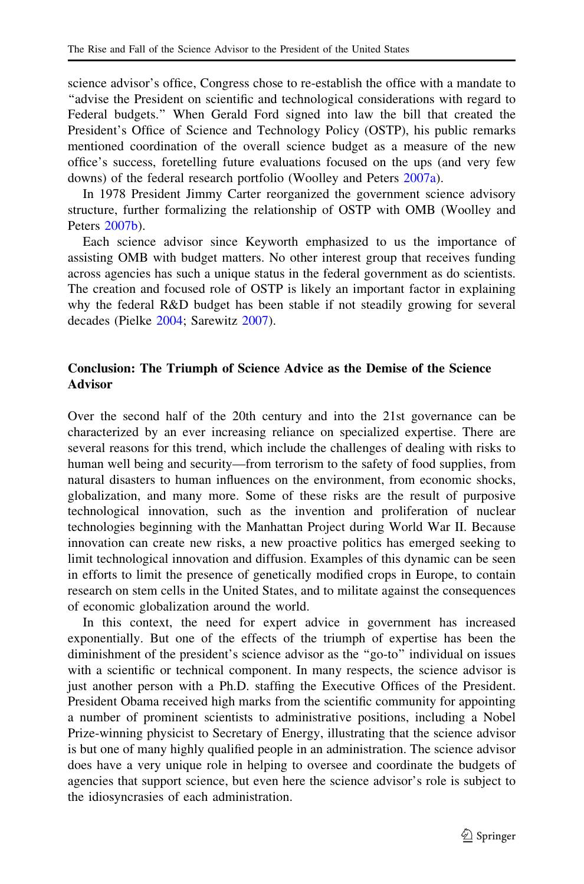science advisor's office, Congress chose to re-establish the office with a mandate to ''advise the President on scientific and technological considerations with regard to Federal budgets.'' When Gerald Ford signed into law the bill that created the President's Office of Science and Technology Policy (OSTP), his public remarks mentioned coordination of the overall science budget as a measure of the new office's success, foretelling future evaluations focused on the ups (and very few downs) of the federal research portfolio (Woolley and Peters [2007a](#page-22-0)).

In 1978 President Jimmy Carter reorganized the government science advisory structure, further formalizing the relationship of OSTP with OMB (Woolley and Peters [2007b\)](#page-22-0).

Each science advisor since Keyworth emphasized to us the importance of assisting OMB with budget matters. No other interest group that receives funding across agencies has such a unique status in the federal government as do scientists. The creation and focused role of OSTP is likely an important factor in explaining why the federal R&D budget has been stable if not steadily growing for several decades (Pielke [2004;](#page-21-0) Sarewitz [2007](#page-22-0)).

## Conclusion: The Triumph of Science Advice as the Demise of the Science Advisor

Over the second half of the 20th century and into the 21st governance can be characterized by an ever increasing reliance on specialized expertise. There are several reasons for this trend, which include the challenges of dealing with risks to human well being and security—from terrorism to the safety of food supplies, from natural disasters to human influences on the environment, from economic shocks, globalization, and many more. Some of these risks are the result of purposive technological innovation, such as the invention and proliferation of nuclear technologies beginning with the Manhattan Project during World War II. Because innovation can create new risks, a new proactive politics has emerged seeking to limit technological innovation and diffusion. Examples of this dynamic can be seen in efforts to limit the presence of genetically modified crops in Europe, to contain research on stem cells in the United States, and to militate against the consequences of economic globalization around the world.

In this context, the need for expert advice in government has increased exponentially. But one of the effects of the triumph of expertise has been the diminishment of the president's science advisor as the ''go-to'' individual on issues with a scientific or technical component. In many respects, the science advisor is just another person with a Ph.D. staffing the Executive Offices of the President. President Obama received high marks from the scientific community for appointing a number of prominent scientists to administrative positions, including a Nobel Prize-winning physicist to Secretary of Energy, illustrating that the science advisor is but one of many highly qualified people in an administration. The science advisor does have a very unique role in helping to oversee and coordinate the budgets of agencies that support science, but even here the science advisor's role is subject to the idiosyncrasies of each administration.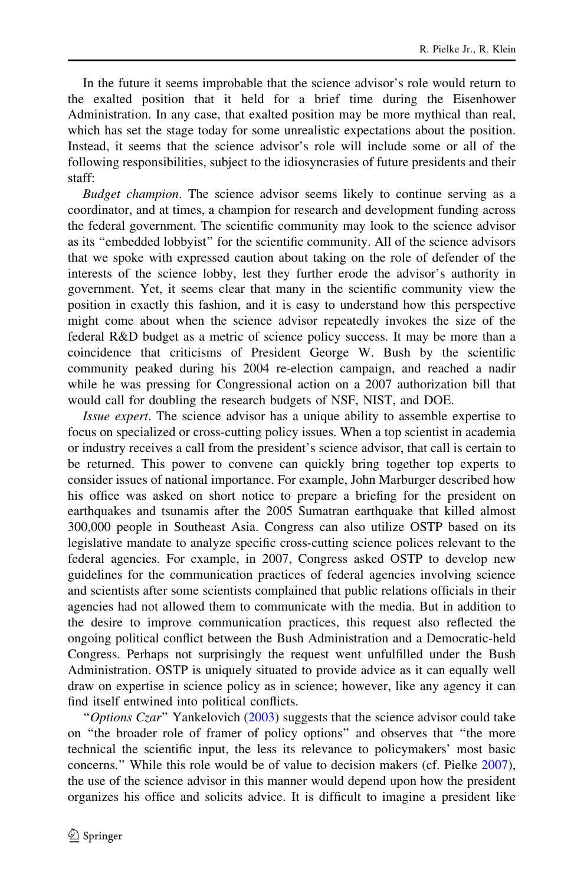In the future it seems improbable that the science advisor's role would return to the exalted position that it held for a brief time during the Eisenhower Administration. In any case, that exalted position may be more mythical than real, which has set the stage today for some unrealistic expectations about the position. Instead, it seems that the science advisor's role will include some or all of the following responsibilities, subject to the idiosyncrasies of future presidents and their staff:

Budget champion. The science advisor seems likely to continue serving as a coordinator, and at times, a champion for research and development funding across the federal government. The scientific community may look to the science advisor as its ''embedded lobbyist'' for the scientific community. All of the science advisors that we spoke with expressed caution about taking on the role of defender of the interests of the science lobby, lest they further erode the advisor's authority in government. Yet, it seems clear that many in the scientific community view the position in exactly this fashion, and it is easy to understand how this perspective might come about when the science advisor repeatedly invokes the size of the federal R&D budget as a metric of science policy success. It may be more than a coincidence that criticisms of President George W. Bush by the scientific community peaked during his 2004 re-election campaign, and reached a nadir while he was pressing for Congressional action on a 2007 authorization bill that would call for doubling the research budgets of NSF, NIST, and DOE.

Issue expert. The science advisor has a unique ability to assemble expertise to focus on specialized or cross-cutting policy issues. When a top scientist in academia or industry receives a call from the president's science advisor, that call is certain to be returned. This power to convene can quickly bring together top experts to consider issues of national importance. For example, John Marburger described how his office was asked on short notice to prepare a briefing for the president on earthquakes and tsunamis after the 2005 Sumatran earthquake that killed almost 300,000 people in Southeast Asia. Congress can also utilize OSTP based on its legislative mandate to analyze specific cross-cutting science polices relevant to the federal agencies. For example, in 2007, Congress asked OSTP to develop new guidelines for the communication practices of federal agencies involving science and scientists after some scientists complained that public relations officials in their agencies had not allowed them to communicate with the media. But in addition to the desire to improve communication practices, this request also reflected the ongoing political conflict between the Bush Administration and a Democratic-held Congress. Perhaps not surprisingly the request went unfulfilled under the Bush Administration. OSTP is uniquely situated to provide advice as it can equally well draw on expertise in science policy as in science; however, like any agency it can find itself entwined into political conflicts.

"Options Czar" Yankelovich  $(2003)$  $(2003)$  suggests that the science advisor could take on ''the broader role of framer of policy options'' and observes that ''the more technical the scientific input, the less its relevance to policymakers' most basic concerns.'' While this role would be of value to decision makers (cf. Pielke [2007\)](#page-21-0), the use of the science advisor in this manner would depend upon how the president organizes his office and solicits advice. It is difficult to imagine a president like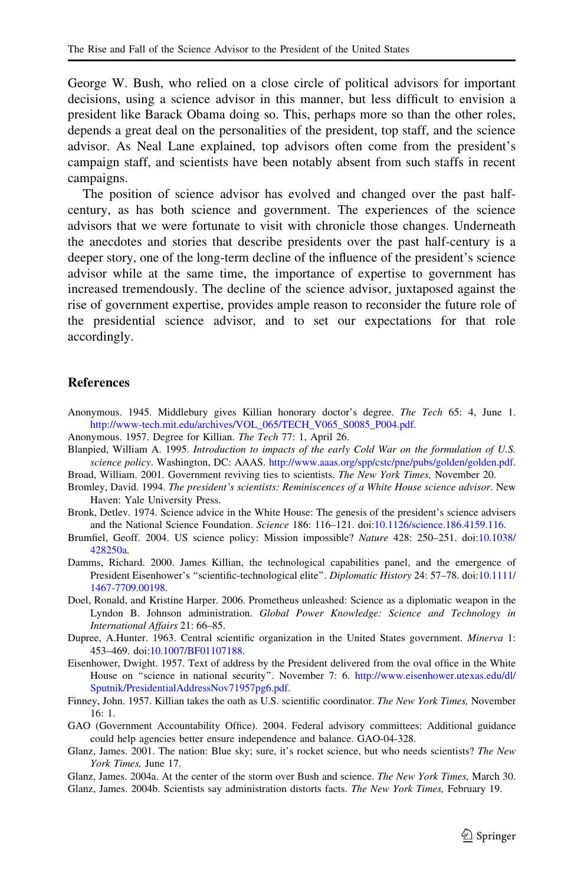<span id="page-20-0"></span>George W. Bush, who relied on a close circle of political advisors for important decisions, using a science advisor in this manner, but less difficult to envision a president like Barack Obama doing so. This, perhaps more so than the other roles, depends a great deal on the personalities of the president, top staff, and the science advisor. As Neal Lane explained, top advisors often come from the president's campaign staff, and scientists have been notably absent from such staffs in recent campaigns.

The position of science advisor has evolved and changed over the past halfcentury, as has both science and government. The experiences of the science advisors that we were fortunate to visit with chronicle those changes. Underneath the anecdotes and stories that describe presidents over the past half-century is a deeper story, one of the long-term decline of the influence of the president's science advisor while at the same time, the importance of expertise to government has increased tremendously. The decline of the science advisor, juxtaposed against the rise of government expertise, provides ample reason to reconsider the future role of the presidential science advisor, and to set our expectations for that role accordingly.

#### **References**

- Anonymous. 1945. Middlebury gives Killian honorary doctor's degree. The Tech 65: 4, June 1. [http://www-tech.mit.edu/archives/VOL\\_065/TECH\\_V065\\_S0085\\_P004.pdf](http://www-tech.mit.edu/archives/VOL_065/TECH_V065_S0085_P004.pdf).
- Anonymous. 1957. Degree for Killian. The Tech 77: 1, April 26.
- Blanpied, William A. 1995. Introduction to impacts of the early Cold War on the formulation of U.S. science policy. Washington, DC: AAAS. <http://www.aaas.org/spp/cstc/pne/pubs/golden/golden.pdf>.
- Broad, William. 2001. Government reviving ties to scientists. The New York Times, November 20.
- Bromley, David. 1994. The president's scientists: Reminiscences of a White House science advisor. New Haven: Yale University Press.
- Bronk, Detlev. 1974. Science advice in the White House: The genesis of the president's science advisers and the National Science Foundation. Science 186: 116–121. doi:[10.1126/science.186.4159.116](http://dx.doi.org/10.1126/science.186.4159.116).
- Brumfiel, Geoff. 2004. US science policy: Mission impossible? Nature 428: 250–251. doi[:10.1038/](http://dx.doi.org/10.1038/428250a) [428250a](http://dx.doi.org/10.1038/428250a).
- Damms, Richard. 2000. James Killian, the technological capabilities panel, and the emergence of President Eisenhower's ''scientific-technological elite''. Diplomatic History 24: 57–78. doi[:10.1111/](http://dx.doi.org/10.1111/1467-7709.00198) [1467-7709.00198](http://dx.doi.org/10.1111/1467-7709.00198).
- Doel, Ronald, and Kristine Harper. 2006. Prometheus unleashed: Science as a diplomatic weapon in the Lyndon B. Johnson administration. Global Power Knowledge: Science and Technology in International Affairs 21: 66–85.
- Dupree, A.Hunter. 1963. Central scientific organization in the United States government. Minerva 1: 453–469. doi:[10.1007/BF01107188](http://dx.doi.org/10.1007/BF01107188).
- Eisenhower, Dwight. 1957. Text of address by the President delivered from the oval office in the White House on "science in national security". November 7: 6. [http://www.eisenhower.utexas.edu/dl/](http://www.eisenhower.utexas.edu/dl/Sputnik/PresidentialAddressNov71957pg6.pdf) [Sputnik/PresidentialAddressNov71957pg6.pdf.](http://www.eisenhower.utexas.edu/dl/Sputnik/PresidentialAddressNov71957pg6.pdf)
- Finney, John. 1957. Killian takes the oath as U.S. scientific coordinator. The New York Times, November 16: 1.
- GAO (Government Accountability Office). 2004. Federal advisory committees: Additional guidance could help agencies better ensure independence and balance. GAO-04-328.
- Glanz, James. 2001. The nation: Blue sky; sure, it's rocket science, but who needs scientists? The New York Times, June 17.
- Glanz, James. 2004a. At the center of the storm over Bush and science. The New York Times, March 30. Glanz, James. 2004b. Scientists say administration distorts facts. The New York Times, February 19.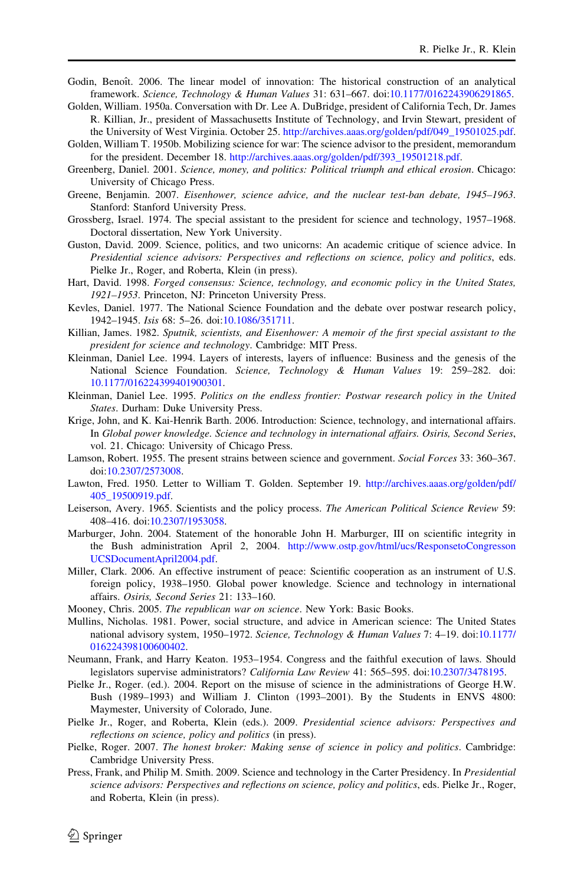- <span id="page-21-0"></span>Godin, Benoît. 2006. The linear model of innovation: The historical construction of an analytical framework. Science, Technology & Human Values 31: 631–667. doi[:10.1177/0162243906291865](http://dx.doi.org/10.1177/0162243906291865).
- Golden, William. 1950a. Conversation with Dr. Lee A. DuBridge, president of California Tech, Dr. James R. Killian, Jr., president of Massachusetts Institute of Technology, and Irvin Stewart, president of

the University of West Virginia. October 25. [http://archives.aaas.org/golden/pdf/049\\_19501025.pdf](http://archives.aaas.org/golden/pdf/049_19501025.pdf). Golden, William T. 1950b. Mobilizing science for war: The science advisor to the president, memorandum for the president. December 18. [http://archives.aaas.org/golden/pdf/393\\_19501218.pdf](http://archives.aaas.org/golden/pdf/393_19501218.pdf).

- Greenberg, Daniel. 2001. Science, money, and politics: Political triumph and ethical erosion. Chicago: University of Chicago Press.
- Greene, Benjamin. 2007. Eisenhower, science advice, and the nuclear test-ban debate, 1945–1963. Stanford: Stanford University Press.
- Grossberg, Israel. 1974. The special assistant to the president for science and technology, 1957–1968. Doctoral dissertation, New York University.
- Guston, David. 2009. Science, politics, and two unicorns: An academic critique of science advice. In Presidential science advisors: Perspectives and reflections on science, policy and politics, eds. Pielke Jr., Roger, and Roberta, Klein (in press).
- Hart, David. 1998. Forged consensus: Science, technology, and economic policy in the United States, 1921–1953. Princeton, NJ: Princeton University Press.
- Kevles, Daniel. 1977. The National Science Foundation and the debate over postwar research policy, 1942–1945. Isis 68: 5–26. doi:[10.1086/351711.](http://dx.doi.org/10.1086/351711)
- Killian, James. 1982. Sputnik, scientists, and Eisenhower: A memoir of the first special assistant to the president for science and technology. Cambridge: MIT Press.
- Kleinman, Daniel Lee. 1994. Layers of interests, layers of influence: Business and the genesis of the National Science Foundation. Science, Technology & Human Values 19: 259–282. doi: [10.1177/016224399401900301.](http://dx.doi.org/10.1177/016224399401900301)
- Kleinman, Daniel Lee. 1995. Politics on the endless frontier: Postwar research policy in the United States. Durham: Duke University Press.
- Krige, John, and K. Kai-Henrik Barth. 2006. Introduction: Science, technology, and international affairs. In Global power knowledge. Science and technology in international affairs. Osiris, Second Series, vol. 21. Chicago: University of Chicago Press.
- Lamson, Robert. 1955. The present strains between science and government. Social Forces 33: 360–367. doi[:10.2307/2573008](http://dx.doi.org/10.2307/2573008).
- Lawton, Fred. 1950. Letter to William T. Golden. September 19. [http://archives.aaas.org/golden/pdf/](http://archives.aaas.org/golden/pdf/405_19500919.pdf) [405\\_19500919.pdf](http://archives.aaas.org/golden/pdf/405_19500919.pdf).
- Leiserson, Avery. 1965. Scientists and the policy process. The American Political Science Review 59: 408–416. doi:[10.2307/1953058.](http://dx.doi.org/10.2307/1953058)
- Marburger, John. 2004. Statement of the honorable John H. Marburger, III on scientific integrity in the Bush administration April 2, 2004. [http://www.ostp.gov/html/ucs/ResponsetoCongresson](http://www.ostp.gov/html/ucs/ResponsetoCongressonUCSDocumentApril2004.pdf) [UCSDocumentApril2004.pdf.](http://www.ostp.gov/html/ucs/ResponsetoCongressonUCSDocumentApril2004.pdf)
- Miller, Clark. 2006. An effective instrument of peace: Scientific cooperation as an instrument of U.S. foreign policy, 1938–1950. Global power knowledge. Science and technology in international affairs. Osiris, Second Series 21: 133–160.
- Mooney, Chris. 2005. The republican war on science. New York: Basic Books.
- Mullins, Nicholas. 1981. Power, social structure, and advice in American science: The United States national advisory system, 1950–1972. Science, Technology & Human Values 7: 4–19. doi[:10.1177/](http://dx.doi.org/10.1177/016224398100600402) [016224398100600402.](http://dx.doi.org/10.1177/016224398100600402)
- Neumann, Frank, and Harry Keaton. 1953–1954. Congress and the faithful execution of laws. Should legislators supervise administrators? California Law Review 41: 565–595. doi:[10.2307/3478195.](http://dx.doi.org/10.2307/3478195)
- Pielke Jr., Roger. (ed.). 2004. Report on the misuse of science in the administrations of George H.W. Bush (1989–1993) and William J. Clinton (1993–2001). By the Students in ENVS 4800: Maymester, University of Colorado, June.
- Pielke Jr., Roger, and Roberta, Klein (eds.). 2009. Presidential science advisors: Perspectives and reflections on science, policy and politics (in press).
- Pielke, Roger. 2007. The honest broker: Making sense of science in policy and politics. Cambridge: Cambridge University Press.
- Press, Frank, and Philip M. Smith. 2009. Science and technology in the Carter Presidency. In Presidential science advisors: Perspectives and reflections on science, policy and politics, eds. Pielke Jr., Roger, and Roberta, Klein (in press).